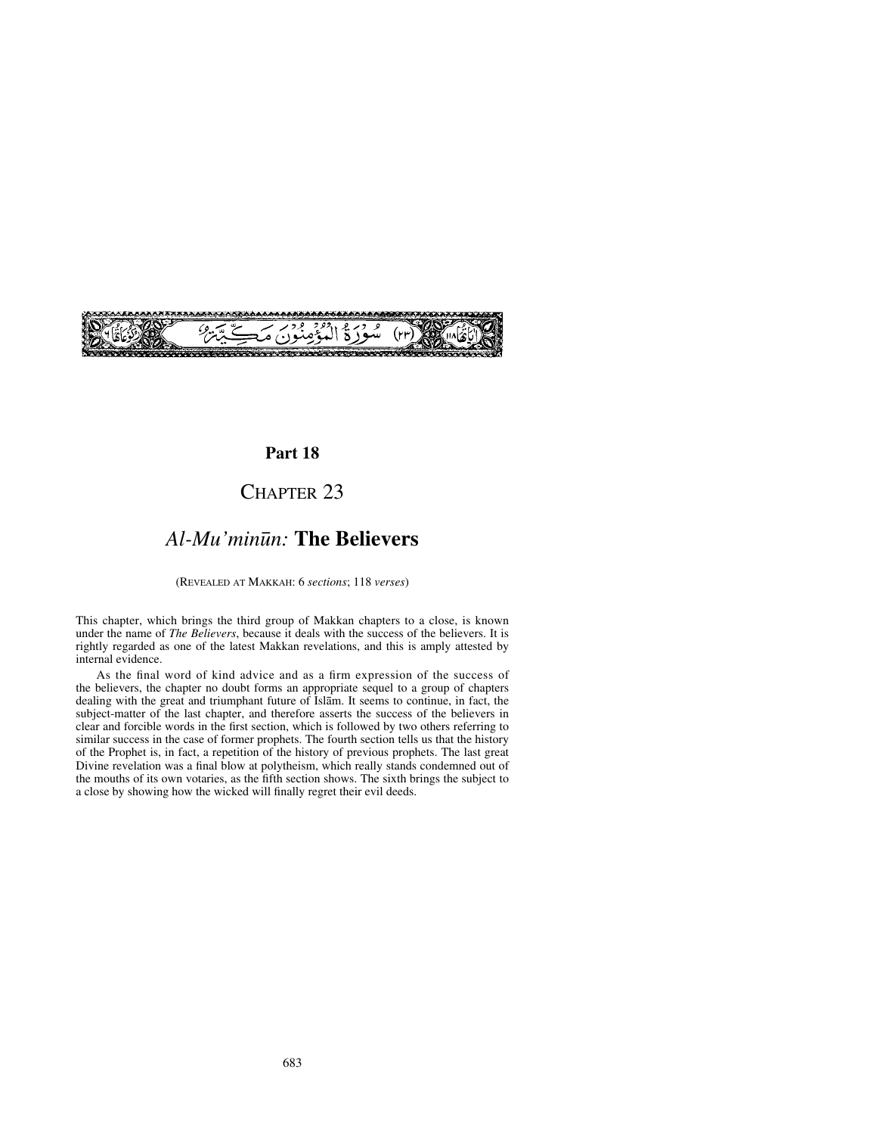

## **Part 18**

# CHAPTER 23

## *Al-Mu'min∂n:* **The Believers**

(REVEALED AT MAKKAH: 6 *sections*; 118 *verses*)

This chapter, which brings the third group of Makkan chapters to a close, is known under the name of *The Believers*, because it deals with the success of the believers. It is rightly regarded as one of the latest Makkan revelations, and this is amply attested by internal evidence.

As the final word of kind advice and as a firm expression of the success of the believers, the chapter no doubt forms an appropriate sequel to a group of chapters dealing with the great and triumphant future of Islåm. It seems to continue, in fact, the subject-matter of the last chapter, and therefore asserts the success of the believers in clear and forcible words in the first section, which is followed by two others referring to similar success in the case of former prophets. The fourth section tells us that the history of the Prophet is, in fact, a repetition of the history of previous prophets. The last great Divine revelation was a final blow at polytheism, which really stands condemned out of the mouths of its own votaries, as the fifth section shows. The sixth brings the subject to a close by showing how the wicked will finally regret their evil deeds.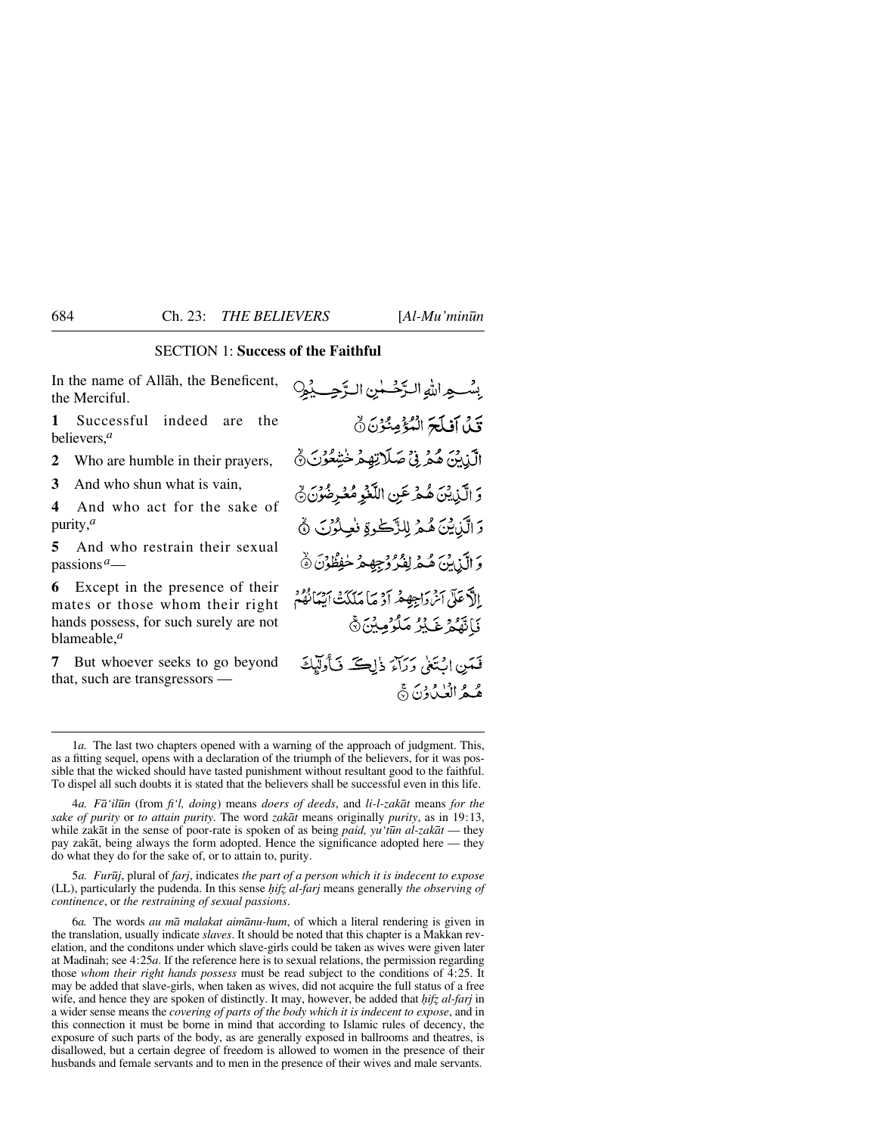## SECTION 1: **Success of the Faithful**

In the name of Allåh, the Beneficent, the Merciful.

**1** Successful indeed are the believers,*<sup>a</sup>*

**2** Who are humble in their prayers,

**3** And who shun what is vain,

**4** And who act for the sake of purity,*<sup>a</sup>*

**5** And who restrain their sexual passions*a*—

**6** Except in the presence of their mates or those whom their right hands possess, for such surely are not blameable,*<sup>a</sup>*

**7** But whoever seeks to go beyond that, such are transgressors —

بِسْبِهِ اللهِ الرَّحْسُنِ الرَّحِبِ بِمُ؟ قَلْ آفلَحَ الْمُؤْمِنُوْنَ نَّ الَّذِينَ هُمْ فِي صَلَاتِهِمْ خَشِعُوْنَ ﴾ وَ الَّذِينَ هُمْرِ عَنِ اللَّغْوِ مُعُرِضُونَ ﴾ دَ الَّذِينَ هُمْ لِلزَّكْرِةِ فَعِلْوُنَ ﴾ وَ الَّذِينَ هُمْ لِفُرُ وُجِهِمْ خُفِظُوْنَ ﴾ الآدعَلْيَ آمِنْ دَاجِهِهْمْهِ أَدْ مَا مَلَكَتُ أَسْبَانُهُمْ فَأَنَّهُمْ غَيْرُ مَلْوُمِينَ۞ فَعَينِ اسْتَغِي وَرَاءَ ذَاڪَ فَبَأُولَيْكَ هُهُ الْعُلُوْنَ ۞

4*a. Få'il∂n* (from *fi'l, doing*) means *doers of deeds*, and *li-l-zakåt* means *for the sake of purity* or *to attain purity*. The word *zakåt* means originally *purity*, as in 19:13, while zakåt in the sense of poor-rate is spoken of as being *paid, yu't∂n al-zakåt* — they pay zakåt, being always the form adopted. Hence the significance adopted here — they do what they do for the sake of, or to attain to, purity.

5*a. Fur∂j*, plural of *farj*, indicates *the part of a person which it is indecent to expose* (LL), particularly the pudenda. In this sense *hifz al-farj* means generally *the observing of continence*, or *the restraining of sexual passions*.

6*a.* The words *au må malakat aimånu-hum*, of which a literal rendering is given in the translation, usually indicate *slaves*. It should be noted that this chapter is a Makkan revelation, and the conditons under which slave-girls could be taken as wives were given later at Madinah; see  $4:25a$ . If the reference here is to sexual relations, the permission regarding those *whom their right hands possess* must be read subject to the conditions of 4:25. It may be added that slave-girls, when taken as wives, did not acquire the full status of a free wife, and hence they are spoken of distinctly. It may, however, be added that *hifz al-farj* in a wider sense means the *covering of parts of the body which it is indecent to expose*, and in this connection it must be borne in mind that according to Islamic rules of decency, the exposure of such parts of the body, as are generally exposed in ballrooms and theatres, is disallowed, but a certain degree of freedom is allowed to women in the presence of their husbands and female servants and to men in the presence of their wives and male servants.

<sup>1</sup>*a.* The last two chapters opened with a warning of the approach of judgment. This, as a fitting sequel, opens with a declaration of the triumph of the believers, for it was possible that the wicked should have tasted punishment without resultant good to the faithful. To dispel all such doubts it is stated that the believers shall be successful even in this life.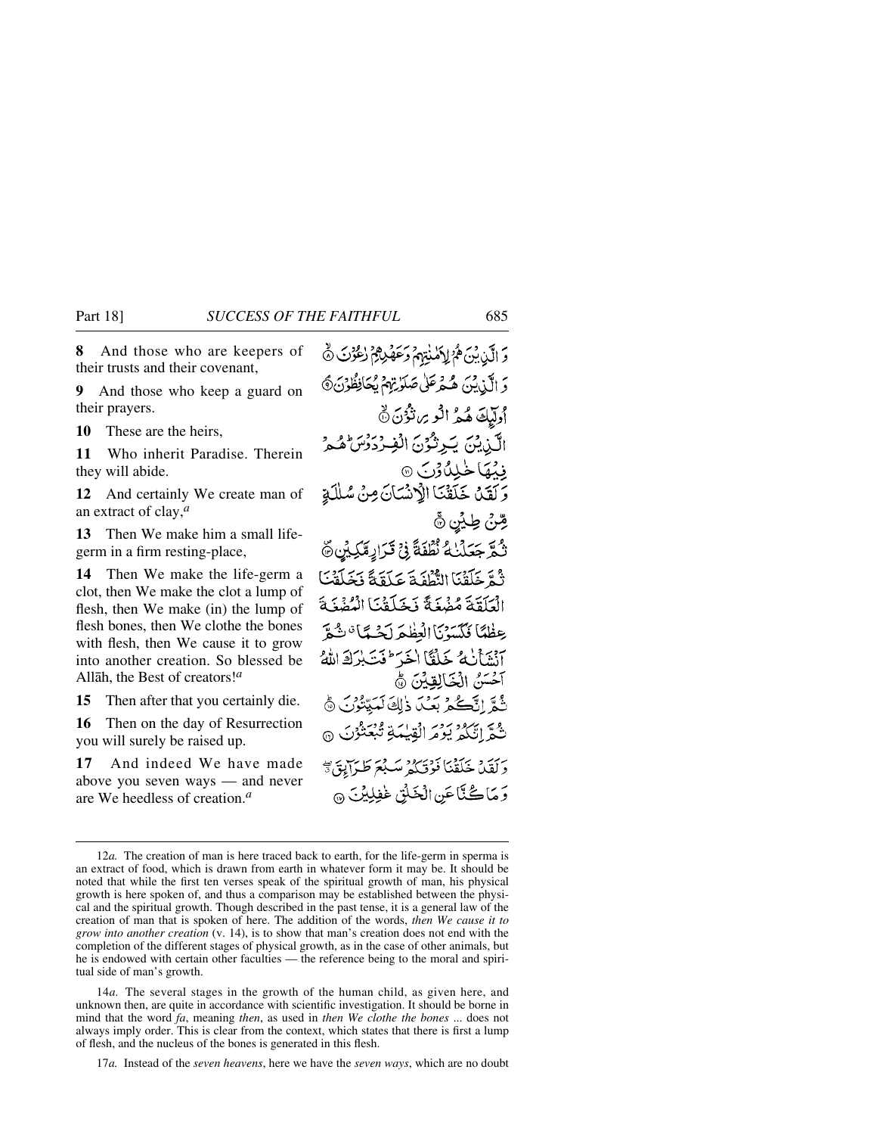**8** And those who are keepers of their trusts and their covenant,

**9** And those who keep a guard on their prayers.

**10** These are the heirs,

**11** Who inherit Paradise. Therein they will abide.

**12** And certainly We create man of an extract of clay,*<sup>a</sup>*

**13** Then We make him a small lifegerm in a firm resting-place,

**14** Then We make the life-germ a clot, then We make the clot a lump of flesh, then We make (in) the lump of flesh bones, then We clothe the bones with flesh, then We cause it to grow into another creation. So blessed be Allåh, the Best of creators!*<sup>a</sup>*

**15** Then after that you certainly die.

**16** Then on the day of Resurrection you will surely be raised up.

**17** And indeed We have made above you seven ways — and never are We heedless of creation.*<sup>a</sup>*

وَ الَّيْنِ بِيْنَ هُمْ لِإِيَّلْمَذْتِهِمْ وَعَهْدِهِمْ رٰعُوْنَ ۞ دَ الَّذِينَ هُهْرَعَلْيُ صَلَوٰتِهِمْ يُحَافِظُوْنَ۞ أوليكَ هُمُ الْوِسِ نْؤُنَ نَّ الَّذِيْنَ يَرِثُوْنَ الْفِرْدَرُسَ هُمْ فِيۡهَا خَٰلِدُّوۡنَ ۞ وَكَقَدْ خَلَقْنَا الْأَنْسَانَ مِنْ سُلْلَةِ مِّنْ طِيْنِ ۞ ثُمَّ جَعَلْنَٰهُ نُطْفَةً فِي قَرَادٍمَّكِيْنٍ ۖ ثُمَّ خَلَقْنَا الثُّطُفَةَ عَلَقَةً نَخَلَقَتَ الْعَلَقَةَ مُضْغَةً نَخَلَقْنَا الْمُضُغَةَ عِظْمًا فَكَسَنْنَا الْعَظِّمَ لَحْسَمًا تَسْمَّ آنشأنه كحلقا اخر فت بزك الله آخَسَنُ الْخَالِقِيْنَ ۞ نَّمَّمَّ إِنَّكُمْ بَعْدَ ذَٰلِكَ لَعَيِّتُوْنَ ﴾ نْ مُمَّ إِنَّكُمْ يَوْمَرِ الْقِيْبَةِ تُبْعَثُوْنَ ۞ دَيْقَةٍ، خَلَقْنَا فَوْقَبَكُمْ مَبِيْعَ طَيِّرَانِيَّ ﴾ وَمَاكُنَّاعَنِ الْخَلْقِ غَفِلِيْنَ ۞

14*a.* The several stages in the growth of the human child, as given here, and unknown then, are quite in accordance with scientific investigation. It should be borne in mind that the word *fa*, meaning *then*, as used in *then We clothe the bones* ... does not always imply order. This is clear from the context, which states that there is first a lump of flesh, and the nucleus of the bones is generated in this flesh.

17*a.* Instead of the *seven heavens*, here we have the *seven ways*, which are no doubt

<sup>12</sup>*a*. The creation of man is here traced back to earth, for the life-germ in sperma is an extract of food, which is drawn from earth in whatever form it may be. It should be noted that while the first ten verses speak of the spiritual growth of man, his physical growth is here spoken of, and thus a comparison may be established between the physical and the spiritual growth. Though described in the past tense, it is a general law of the creation of man that is spoken of here. The addition of the words, *then We cause it to grow into another creation* (v. 14), is to show that man's creation does not end with the completion of the different stages of physical growth, as in the case of other animals, but he is endowed with certain other faculties — the reference being to the moral and spiritual side of man's growth.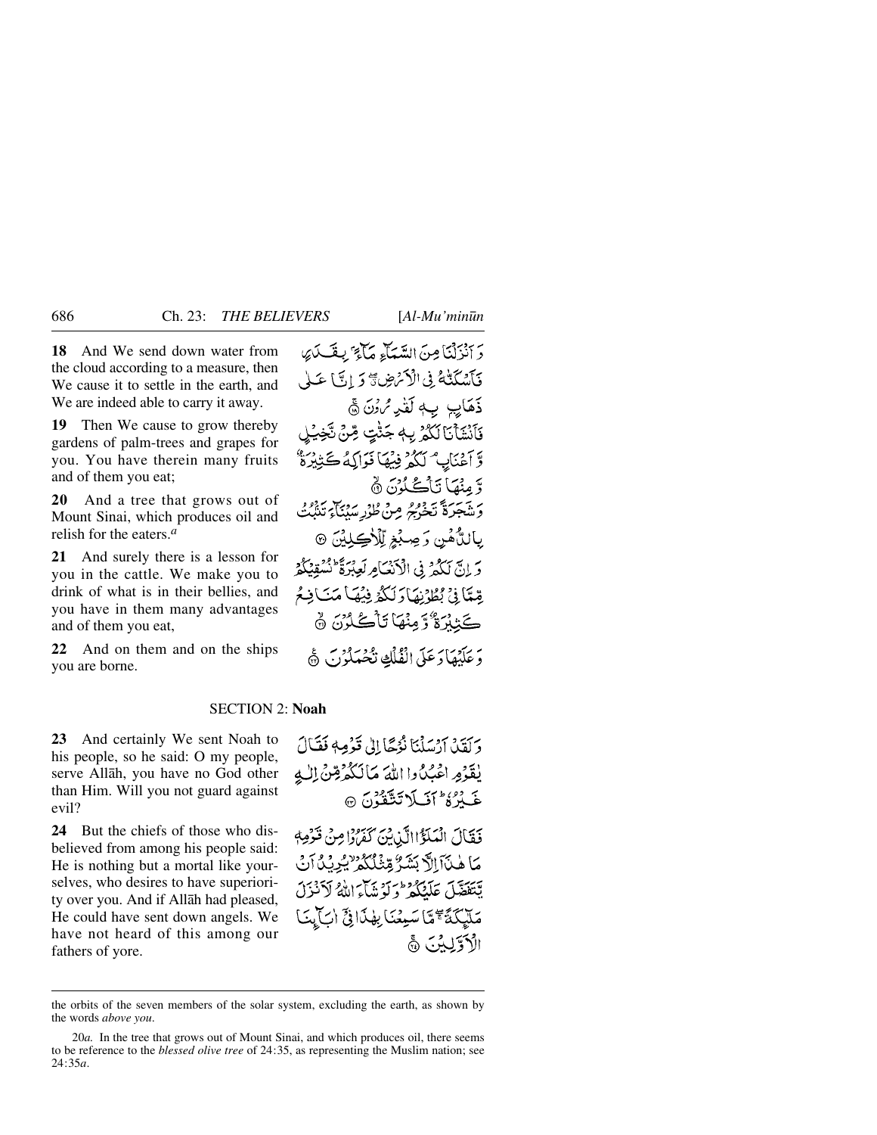**18** And We send down water from the cloud according to a measure, then We cause it to settle in the earth, and We are indeed able to carry it away.

**19** Then We cause to grow thereby gardens of palm-trees and grapes for you. You have therein many fruits and of them you eat;

**20** And a tree that grows out of Mount Sinai, which produces oil and relish for the eaters.*<sup>a</sup>*

**21** And surely there is a lesson for you in the cattle. We make you to drink of what is in their bellies, and you have in them many advantages and of them you eat,

**22** And on them and on the ships you are borne.

دَ أَنْزِلْنَا مِنَ السَّعَاءِ مَاءَ" بِقَسْدَيْ فَأَسْكَتْهُمْ فِي الْأَمْرَضِ ﴾ وَ إِنَّ) عَبْل ذَهَايِبِ بِ4 لَقْدِمُ%َ ۞ فَأَنْشَأْنَا لَكُمْ بِهِ جَنّْتٍ مِّنْ تَّخِيْلِ وَّ آَعْنَابِهُ لَكُمْ فِيْهَا فَوَالِكُهُ ڪَتِبِيْرَةُ ۖ دَّ مِنْهَا نَاْكُے لُوْنَ ۞ وَشَجَرَةً يَخْرُجُ مِنْ طُوْرِ سَبْنَاءِ تَنْبُتُ ِيانِٽُ هُبن وَ صِبْغِ لِّلْأَڪِلِيْنَ ۞ وَ إِنَّ لَكُمْ فِي الْأَنْعَامِ لَعِبْرَةً ۖ نُسُقِبُكُمْ بِّعْيَّا فِي بُطُوْنِهَا دَلَكُمْ فِيْهَا مَنَافِعُ كَتْنْدَةُ وَمِنْهَا تَأْكُدُنَّ ۞ وَ عَلَيْهَا دَعَلَى الْفُلُكِ نَحْمَلُوْنَ ۞

#### SECTION 2: **Noah**

**23** And certainly We sent Noah to his people, so he said: O my people, serve Allåh, you have no God other than Him. Will you not guard against evil?

**24** But the chiefs of those who disbelieved from among his people said: He is nothing but a mortal like yourselves, who desires to have superiority over you. And if Allåh had pleased, He could have sent down angels. We have not heard of this among our fathers of yore.

وَ كَفَيْدٍ أَرْسَلْنَا نُوُجًا إِلَى قَوْمِهِ فَقَيَالَ يٰقَوْمِ اعْبُدُوا اللَّهَ مَالَكُمْ قِنْ اللَّهِ خَبْرُهُ عَلَى لَا تَتَقَدُنَ ۞

فَقَالَ الْمَلَؤُاالَّذِينَ كَفَرُوْا مِنْ قَوْمِهِ <u>مَا هٰنَآ الَّا بَشَرٌّ مِّثْلُكُمْ ٰ يُرِيْدُ آنَ</u> يَتَقَضَّلَ عَلَيْكُمْ وَلَوْشَاءِ اللَّهُ لَأَنْزَلَ مَلَّكِكَةً كَمَّا سَبِيْعَنَا بِهِٰذَا فِيَّ أَبَّ بِيَنَا الأدوَّيكِ ثَنَ ۞

the orbits of the seven members of the solar system, excluding the earth, as shown by the words *above you*.

<sup>20</sup>*a.* In the tree that grows out of Mount Sinai, and which produces oil, there seems to be reference to the *blessed olive tree* of 24:35, as representing the Muslim nation; see 24:35*a*.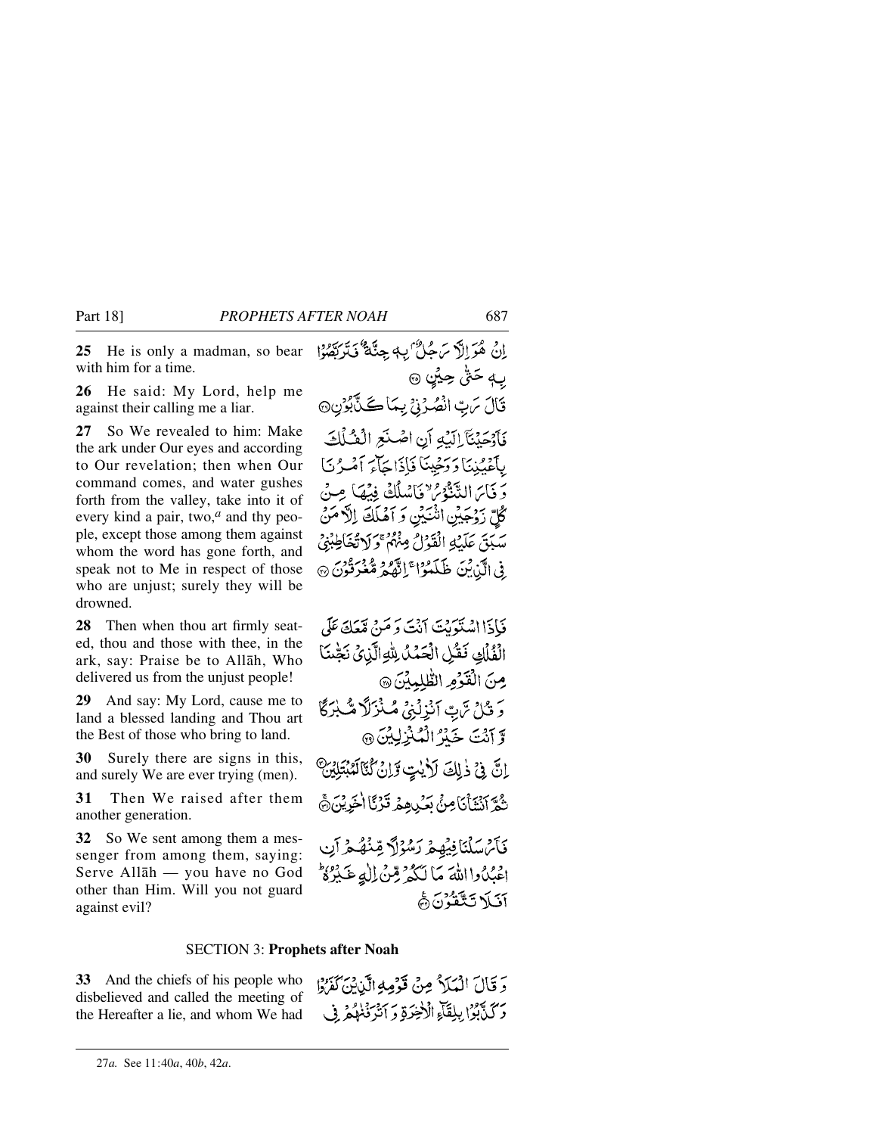**25** He is only a madman, so bear with him for a time.

**26** He said: My Lord, help me against their calling me a liar.

**27** So We revealed to him: Make the ark under Our eyes and according to Our revelation; then when Our command comes, and water gushes forth from the valley, take into it of every kind a pair, two,*<sup>a</sup>* and thy people, except those among them against whom the word has gone forth, and speak not to Me in respect of those who are unjust; surely they will be drowned.

**28** Then when thou art firmly seated, thou and those with thee, in the ark, say: Praise be to Allåh, Who delivered us from the unjust people!

**29** And say: My Lord, cause me to land a blessed landing and Thou art the Best of those who bring to land.

**30** Surely there are signs in this, and surely We are ever trying (men).

**31** Then We raised after them another generation.

**32** So We sent among them a messenger from among them, saying: Serve Allåh — you have no God other than Him. Will you not guard against evil?

إِنْ هُوَ إِلَّا سَمِيُّ بِ4 جِئَةٌ فَيَرْبَعُوْا بِ4 حَقٌٰ حِيۡنٍ ۞ تَالَ مَ بِّ انْصُرُنِيْ بِمَاكَنَّابُوْنِ۞ فَأَوْجَدْنَآ إِلَيْهِ أَنِ اصْلَحِ الْعُبْلَافَ بِأَعْبُدُنَا دَ دَخِينَا فَإِذَا جَأَءَ أَمْيِرُ نَا دَ فَيَاسَ التَّنَّهُ مِّ وَبَاسُلُكَ فِيْهَا مِنْ كُلِّ زَوْجَيْنِ اَنْتَيْنِ وَ اَهْلَكَ اِلَّا مَنْ سَبَقَ عَلَيْهِ الْقَوْلُ مِنْهُمْ وَلَا تَعْاَطِبْنِي ِفِي الَّذِينَ ظَلَمْوُا ۚ إِنَّهُمْ مُعْرَفُونَ ۞

فَبَادَااامْیَوَبِیْتَ آنْتَ دَ مَنْ مَعَکَ عَلَی الْفُلْكِ فَقُلِ الْحَمْدُ لِلْهِ الَّذِينَ نَجْنَا مِنَ الْقَوْمِ الطَّلِمِينَ ۞ وَ قُلْ تَرَبِّ آنْزِلْنِي مُنْزَلاً مُّنْزَلَا وَّ آنَتَ خَيْرُ الْمُنْزِلِيْنَ @ اِنَّ فِيْ ذٰلِكَ لَأَيْتٍ وَّإِنَّ كُنَّالَمُبْتَلِيْنَ نِّهُمْ أَنْتَذَأْنَاصِنُّ بَعَيْدِهِمْ قَرْنَا أُخْرِيْنَ۞ فَأَمْ سَلْنَا فِيَهِمْ رَسُوْلًا قِنْهُمْ آنِ اعْبُدُوااللَّهَ مَا لَكُمْ قِنْ اللَّهِ عَـٰذِهُ ۚ أفيكا تَتَقَدُّنَ هَ

### SECTION 3: **Prophets after Noah**

**33** And the chiefs of his people who disbelieved and called the meeting of the Hereafter a lie, and whom We had وَ قَالَ الْمَلَا ُ مِنْ قَوْمِهِ الَّذِينَ كَفَرُوْا دَكَنَّةُ إِبْلِقَاءِ الْأَخِرَةِ دَ أَنْرَفْنَهُمْ فِي

<sup>27</sup>*a.* See 11:40*a*, 40*b*, 42*a*.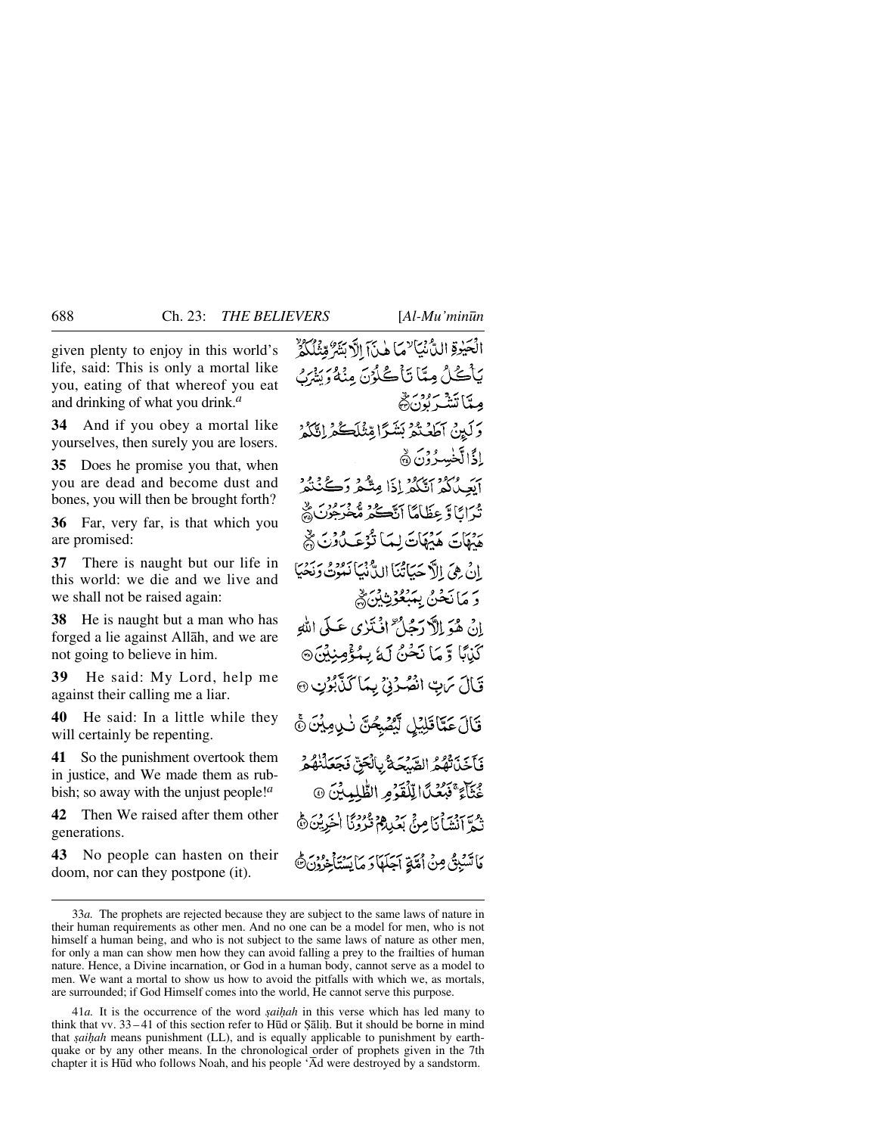given plenty to enjoy in this world's life, said: This is only a mortal like you, eating of that whereof you eat and drinking of what you drink.*<sup>a</sup>*

**34** And if you obey a mortal like yourselves, then surely you are losers.

**35** Does he promise you that, when you are dead and become dust and bones, you will then be brought forth?

**36** Far, very far, is that which you are promised:

**37** There is naught but our life in this world: we die and we live and we shall not be raised again:

**38** He is naught but a man who has forged a lie against Allåh, and we are not going to believe in him.

**39** He said: My Lord, help me against their calling me a liar.

**40** He said: In a little while they will certainly be repenting.

**41** So the punishment overtook them in justice, and We made them as rubbish; so away with the unjust people!*<sup>a</sup>*

**42** Then We raised after them other generations.

**43** No people can hasten on their doom, nor can they postpone (it).

الْحَيْرِةِ الدُّّنْيَاسِمَا هٰذَآ الْأَبَنَّةُ مِّتْنَاكُمُ يَأْڪُلُ مِيّاً تَأْڪُلُوْنَ مِنْهُ وَيَتَّهُرُ مِيثَا تَنَذْبَرُدُنَّ هُر وَلَيْنُ آطَفْتُمْ بَشَرًا مِّثْلَڪُمْ إِيَّكُمْ إذًا لَّخْسِدُوْنَ ۞ أيَعِيدُكُمُ أَتَكُمُرُ إِذَا مِتَّكُمْ وَكُنْتُمُ تُدَايَا وَ عِظَامًا أَنَّڪُمْ مُخْرِجُونَ ؞ هَمْهَاتَ هَيْهَاتَ لِمَا تَوْعَبِ دُنِّ يُّ إِنْ هِيَ الْأَحْيَاتُنَا الدُّفْمَا نَعُوْتُ دَنِجْيَا دَ مَانَحْنُ بِمَبْعُوْثِينَ ﴾ إِنْ هُوَ إِلاَّ دَجُلٌ ۚ إِذۡ نَذِي عَـٰلِيَ اللَّهِ كَيْبًا وَّ مَا نَحْنُ لَهُ بِمُؤْمِنِيْنَ۞ قَالَ مَنِ انْصُرُنِيَّ بِمَا كَذَّبُوْنِ @ قَالَ عَمَّاقَلِيْلِ لَيْصُبِحُنَّ نَبِي مِيْنَ ۞ فَأَخَذَتْهُمُ الصَّبْحَةُ بِالْحَقِّ فَجَعَلْنُهُمْ خُثَآءٌ فَبَعُدًا لِلْقَوْمِ الطَّلِيثِينَ ۞ نْهُمَّ أَنْشَأْنَا مِنْ بَعْيِدِهِمْ قُرْدَنَا اٰخَرِيْنَ ۞ مَا تَسْبِقُ مِنْ أُمَّةٍ آجَلَهَا دَ مَا يَسۡتَأۡخِرُونَ ۞

41*a*. It is the occurrence of the word *saihah* in this verse which has led many to think that vv. 33 – 41 of this section refer to Hūd or Şālih. But it should be borne in mind that *saihah* means punishment (LL), and is equally applicable to punishment by earthquake or by any other means. In the chronological order of prophets given in the 7th chapter it is H∂d who follows Noah, and his people 'Åd were destroyed by a sandstorm.

<sup>33</sup>*a.* The prophets are rejected because they are subject to the same laws of nature in their human requirements as other men. And no one can be a model for men, who is not himself a human being, and who is not subject to the same laws of nature as other men, for only a man can show men how they can avoid falling a prey to the frailties of human nature. Hence, a Divine incarnation, or God in a human body, cannot serve as a model to men. We want a mortal to show us how to avoid the pitfalls with which we, as mortals, are surrounded; if God Himself comes into the world, He cannot serve this purpose.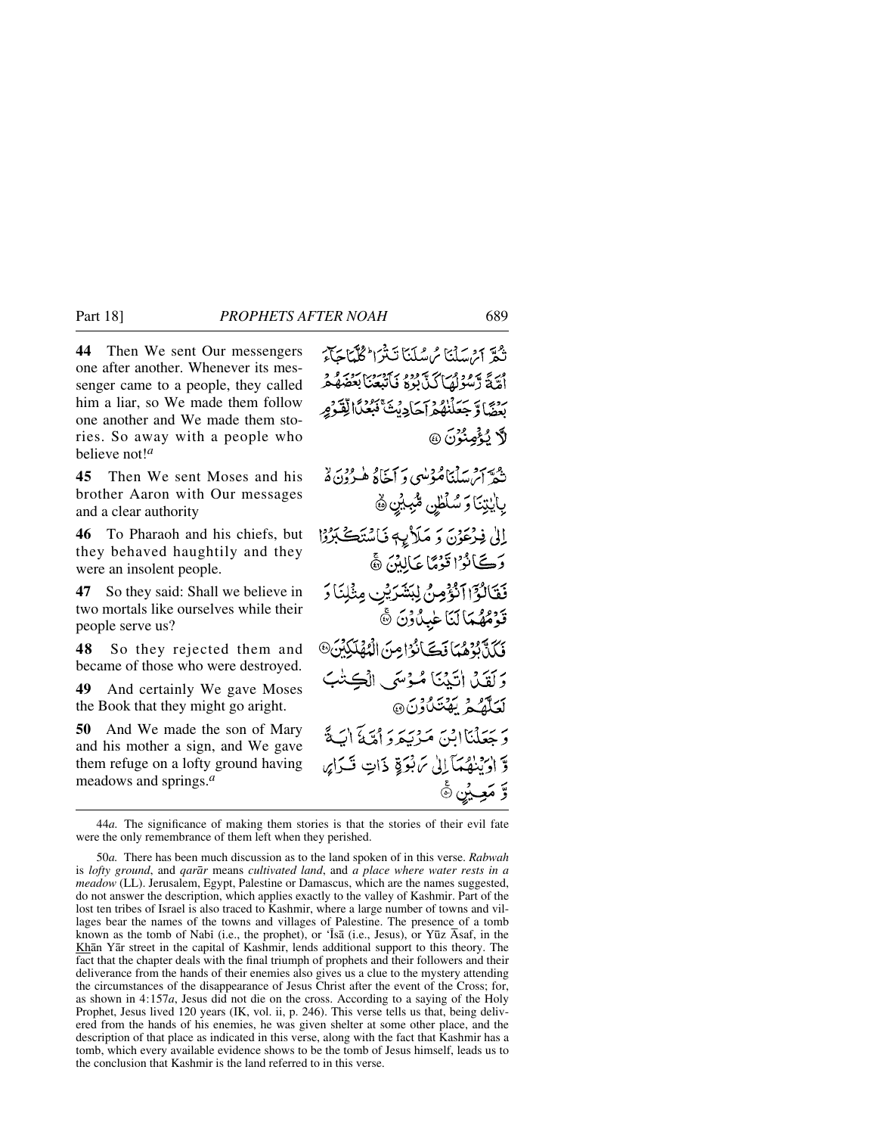**44** Then We sent Our messengers one after another. Whenever its messenger came to a people, they called him a liar, so We made them follow one another and We made them stories. So away with a people who believe not!*<sup>a</sup>*

**45** Then We sent Moses and his brother Aaron with Our messages and a clear authority

**46** To Pharaoh and his chiefs, but they behaved haughtily and they were an insolent people.

**47** So they said: Shall we believe in two mortals like ourselves while their people serve us?

**48** So they rejected them and became of those who were destroyed.

**49** And certainly We gave Moses the Book that they might go aright.

**50** And We made the son of Mary and his mother a sign, and We gave them refuge on a lofty ground having meadows and springs.*<sup>a</sup>*

تْجَدَّ أَيْرَسَلْنَا مُ سُلَنَا تَبَيْرَا كُلَّيَاجَائِيَ أَمَّةً دَمُوْكِمَاكَ بَوْدُو بِأَبْسَتْنَا بَعَضَهُمْ بِينِ بِيَ سَيَنْتُهُمْ إِجَادِمْتَ فَبُعْيَاْ لِقَدْهِرِ لاَّ يُؤْمِنُوْنَ @ شَعَّ أَيْرَ سَلَّيْنَاهُ دَمْيِي وَ أَجَادُ هُيرُونَ هُ بِايْتِنَا وَ سُلْطْيِن مُّكِبِيْنِ ۞ إِلَىٰ فِرْعَوْنَ وَ مَلَاْيِهِ فَاسْتَكَبِرُوْا وَكَانُوْا قَوْمًا عَالِيْنَ ﴾ فَقَالُوَّا اَنْؤُمِنُ لِبَشْرَيْنِ مِثْلِنَا وَ قَوْمُهُمَا لَنَا عٰبِدُونَ ﴾َ فَكَنَّ بُؤْهُمَا فَكَانُوْ امِنَ الْمُهْلَكِيْنَ® وَلَقِيْلِ اٰتَيْنَنَا مُؤْسَى الْڪِتْبَ لَعَلَّقُوْ بِمُتَكَاوُنَ @ وَحَعَلْنَاانِينَ مَزْنَبَدَ وَأَمَّةَ أَبَيَّةً وَّ اٰوَيْنِهُمَّآَ إِلَىٰ تَرَبَّوَةٍ ذَاتٍ قَـٰدَايِهِ وَّ مَعِيْنٍ ۞

<sup>44</sup>*a.* The significance of making them stories is that the stories of their evil fate were the only remembrance of them left when they perished.

<sup>50</sup>*a.* There has been much discussion as to the land spoken of in this verse. *Rabwah* is *lofty ground*, and *qarår* means *cultivated land*, and *a place where water rests in a meadow* (LL). Jerusalem, Egypt, Palestine or Damascus, which are the names suggested, do not answer the description, which applies exactly to the valley of Kashmir. Part of the lost ten tribes of Israel is also traced to Kashmir, where a large number of towns and villages bear the names of the towns and villages of Palestine. The presence of a tomb known as the tomb of Nabī (i.e., the prophet), or 'Īsā (i.e., Jesus), or Yūz Āsaf, in the Khån Yår street in the capital of Kashmir, lends additional support to this theory. The fact that the chapter deals with the final triumph of prophets and their followers and their deliverance from the hands of their enemies also gives us a clue to the mystery attending the circumstances of the disappearance of Jesus Christ after the event of the Cross; for, as shown in 4:157*a*, Jesus did not die on the cross. According to a saying of the Holy Prophet, Jesus lived 120 years (IK, vol. ii, p. 246). This verse tells us that, being delivered from the hands of his enemies, he was given shelter at some other place, and the description of that place as indicated in this verse, along with the fact that Kashmir has a tomb, which every available evidence shows to be the tomb of Jesus himself, leads us to the conclusion that Kashmir is the land referred to in this verse.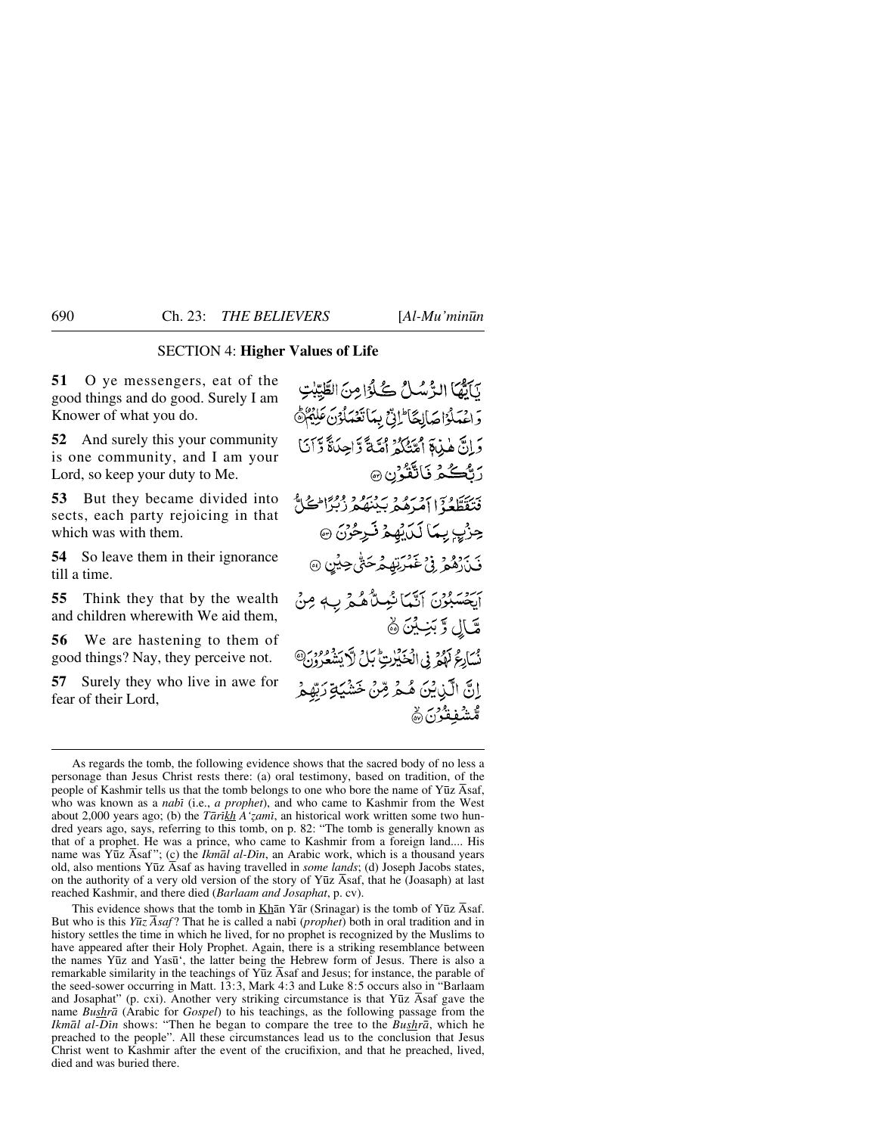## SECTION 4: **Higher Values of Life**

**51** O ye messengers, eat of the good things and do good. Surely I am Knower of what you do.

**52** And surely this your community is one community, and I am your Lord, so keep your duty to Me.

**53** But they became divided into sects, each party rejoicing in that which was with them.

**54** So leave them in their ignorance till a time.

**55** Think they that by the wealth and children wherewith We aid them,

**56** We are hastening to them of good things? Nay, they perceive not.

**57** Surely they who live in awe for fear of their Lord,

يَأْتُمَا الرُّسُلُ كُلُّوْا مِنَ الطَّيِّلِتِ وَاعْدَلْوْاجْدَالِجَا لَاتِّ بِمَاتَعْدَلُوْنَ عَلِيْمٌ وَإِنَّ هٰذِابَهِ أَمَّتُنَّكُمُ أُمَّةً وَّاحِدَاَّةً وَّآنَا **رَتَّڪُمُ نَ**اتَّقُونِ @ فَتَقَطَّعُهُ [ ] ورود وبربرو و وواطحالُّ جِزْبِ بِيمَا لَيْ لِهِمْ فَبِرِحُرْنَ ۞ فَبِيْ دِهِمْ فِي غَذْرَتِهِ مُرْحَقٌ حِيْنِ ۞ برديور آتيمائيساً هُمْ بِ مِنْ مَّالِ وَّ بَنِيِّينَ ۞ نُسَارِعُ لَهُمْ فِي الْعَيْلِاتِ بَلْ لَٱ يَشْعَرُونَ® اِنَّ الَّذِيْنَ مُّحْرِ مِّنْ خَشْيَةِ رَبِّهِ ۖ مُشْفِقْوْنَ ۞

This evidence shows that the tomb in Khān Yār (Srinagar) is the tomb of Yūz  $\overline{A}$ saf. But who is this *Yūz Āsaf* ? That he is called a nabi (*prophet*) both in oral tradition and in history settles the time in which he lived, for no prophet is recognized by the Muslims to have appeared after their Holy Prophet. Again, there is a striking resemblance between the names Y∂z and Yas∂', the latter being the Hebrew form of Jesus. There is also a remarkable similarity in the teachings of  $\overline{Y\bar{u}z}$   $\overline{A}$ saf and Jesus; for instance, the parable of the seed-sower occurring in Matt. 13:3, Mark 4:3 and Luke 8:5 occurs also in "Barlaam and Josaphat" (p. cxi). Another very striking circumstance is that Yūz Âsaf gave the name *Bushrå* (Arabic for *Gospel*) to his teachings, as the following passage from the *Ikmål al-Dßn* shows: "Then he began to compare the tree to the *Bushrå*, which he preached to the people". All these circumstances lead us to the conclusion that Jesus Christ went to Kashmir after the event of the crucifixion, and that he preached, lived, died and was buried there.

As regards the tomb, the following evidence shows that the sacred body of no less a personage than Jesus Christ rests there: (a) oral testimony, based on tradition, of the people of Kashmir tells us that the tomb belongs to one who bore the name of Yūz Āsaf, who was known as a *nabß* (i.e., *a prophet*), and who came to Kashmir from the West about 2,000 years ago; (b) the *Tārīkh A'zamī*, an historical work written some two hundred years ago, says, referring to this tomb, on p. 82: "The tomb is generally known as that of a prophet. He was a prince, who came to Kashmir from a foreign land.... His name was Yūz Āsaf"; (c) the *Ikmāl al-Dīn*, an Arabic work, which is a thousand years old, also mentions Y∂z Åsaf as having travelled in *some lands*; (d) Joseph Jacobs states, on the authority of a very old version of the story of Yūz Āsaf, that he (Joasaph) at last reached Kashmir, and there died (*Barlaam and Josaphat*, p. cv).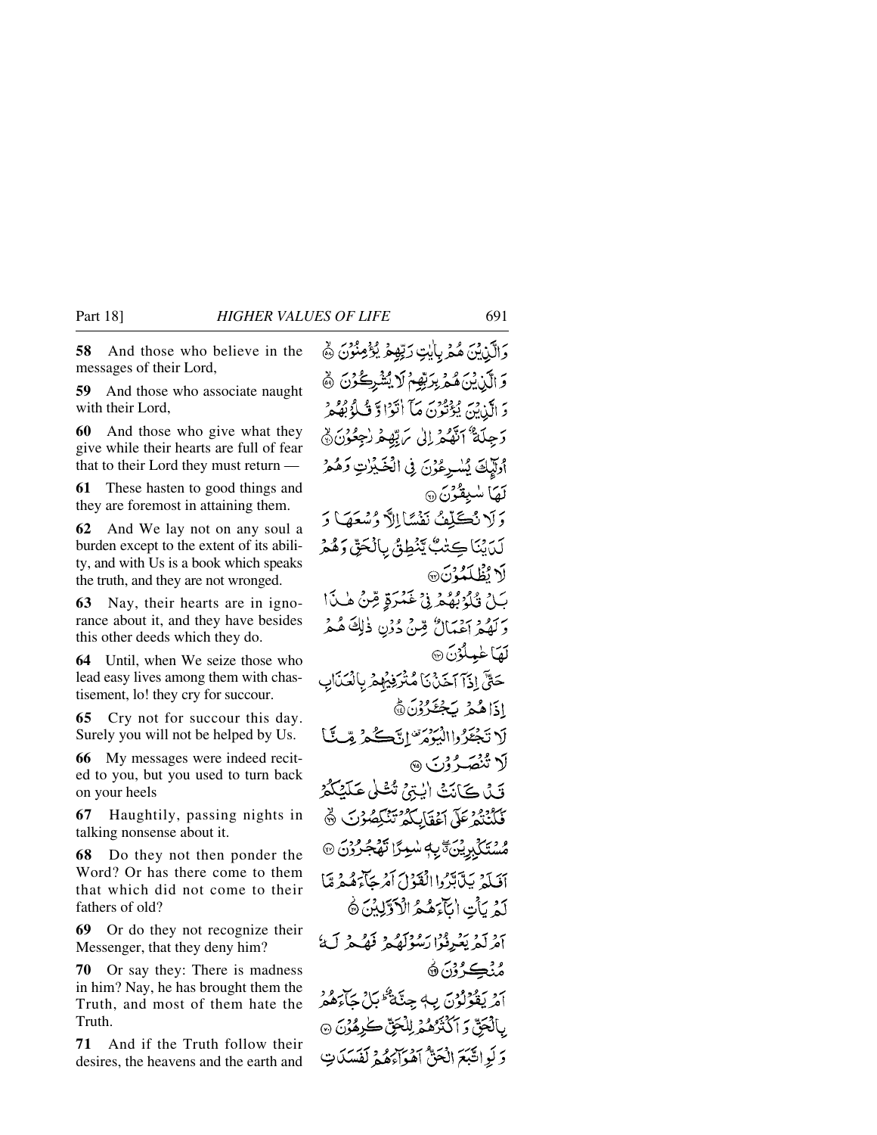**58** And those who believe in the messages of their Lord,

**59** And those who associate naught with their Lord

**60** And those who give what they give while their hearts are full of fear that to their Lord they must return —

**61** These hasten to good things and they are foremost in attaining them.

**62** And We lay not on any soul a burden except to the extent of its ability, and with Us is a book which speaks the truth, and they are not wronged.

**63** Nay, their hearts are in ignorance about it, and they have besides this other deeds which they do.

**64** Until, when We seize those who lead easy lives among them with chastisement, lo! they cry for succour.

**65** Cry not for succour this day. Surely you will not be helped by Us.

**66** My messages were indeed recited to you, but you used to turn back on your heels

**67** Haughtily, passing nights in talking nonsense about it.

**68** Do they not then ponder the Word? Or has there come to them that which did not come to their fathers of old?

**69** Or do they not recognize their Messenger, that they deny him?

**70** Or say they: There is madness in him? Nay, he has brought them the Truth, and most of them hate the Truth.

**71** And if the Truth follow their desires, the heavens and the earth and

وَالَّذِينَ هُمْرِ بِأَيْتِ رَبِّهِمْ يُؤْمِنُوْنَ ﴾ وَ الَّذِيْنَ هُمْ بِرَبِّهِمْ لَا يُشْرِكُوْنَ ﴾ دَ الَّذِينَ يُؤْتُونَ مَآ اٰتَوۡا وَّ ثَلُوۡ بُهُمْ وَجِلَةٌ ٱنَّهُمْ إِلَىٰ مَ بِّهِمْ رُجِعُوْنَ۞ أُوَلَّيْكَ يُسْرِعُوْنَ فِي الْخَيْرِٰتِ وَهُمْ لَهَا سُبِقُوْنَ۞ وَلَا نُكَلِّفُ نَفْسًا إِلاَّ وُسْعَهَا وَ لَدَيْنَا كِتْبٌ يَنْطِقُ بِالْحَقِّ وَهُمْ لَا تُطْلَعُهُ نَ® بَـلِّ قُلُوْبُهُمْ فِيْ غَمْرَةٍ مِّنْ هٰـذَا رَ بِمَ دِ رَدْيَانٌ مِّنْ دُرْنِ ذٰلِكَ هُـمْ لَعَبَا عٰمِلُوۡنَ ۞ حَقٌّ إِذَآ اَحَدۡنَیۡ مُتۡرَفِیۡهِمۡ بِالۡصَنَالِهِ اذَاهُمْ يَجْعَرُوْنَ ﴾ لَا نَجْعَرُ واالْبَيْوَمُ ۖ إِنَّكَ يَحْبُرُ مِّبِ يَبْا لَا تُنْصَرُوْنَ ۞ قَيْلُ كَيْأَنِيْتْ الْبِتِيْجْ تْتْشَلّْي عَلَيْكُمْ فَكَنْتُمْ عَلَى أَعْقَابِكُمْ تَنْكِصُوْتَ ﴾ ڞؙؾؙػڸ<sub>ؖڹ</sub>ڔؽۣؾؘؾ ۑ؋ڛٚؠۯٳؾۿڂٜۯۯؾ أَفَيَلَهُ بَيْآبَدَّدُوا الْفَنْوْلَ أَمْرِجَاًءَهُمْ مَّا لَّهُ يَأْتِ اٰ بَأَءَهُمُ الْأَوَّلِيْنَ ۞ آفرلَّهُ يَعْرِفُوْا رَسُوْلَهُمْ فَهُكُّهُ لَيْ مُنۡڪِرُوۡنَ ۞ امريقولون ب4 جِنَّة ثَمَّلِيَّ جَاءَهُمْ بِٱلۡجَنِّ وَ ٱكۡنَٰزُهُمۡ لِلۡجَنِّ ڪٰرِهُوۡنَ ۞ وَلَوِاتَّيْعَ الْجَنُّ أَهْوَاءَهُمْ لَفَيْدَكَاتٍ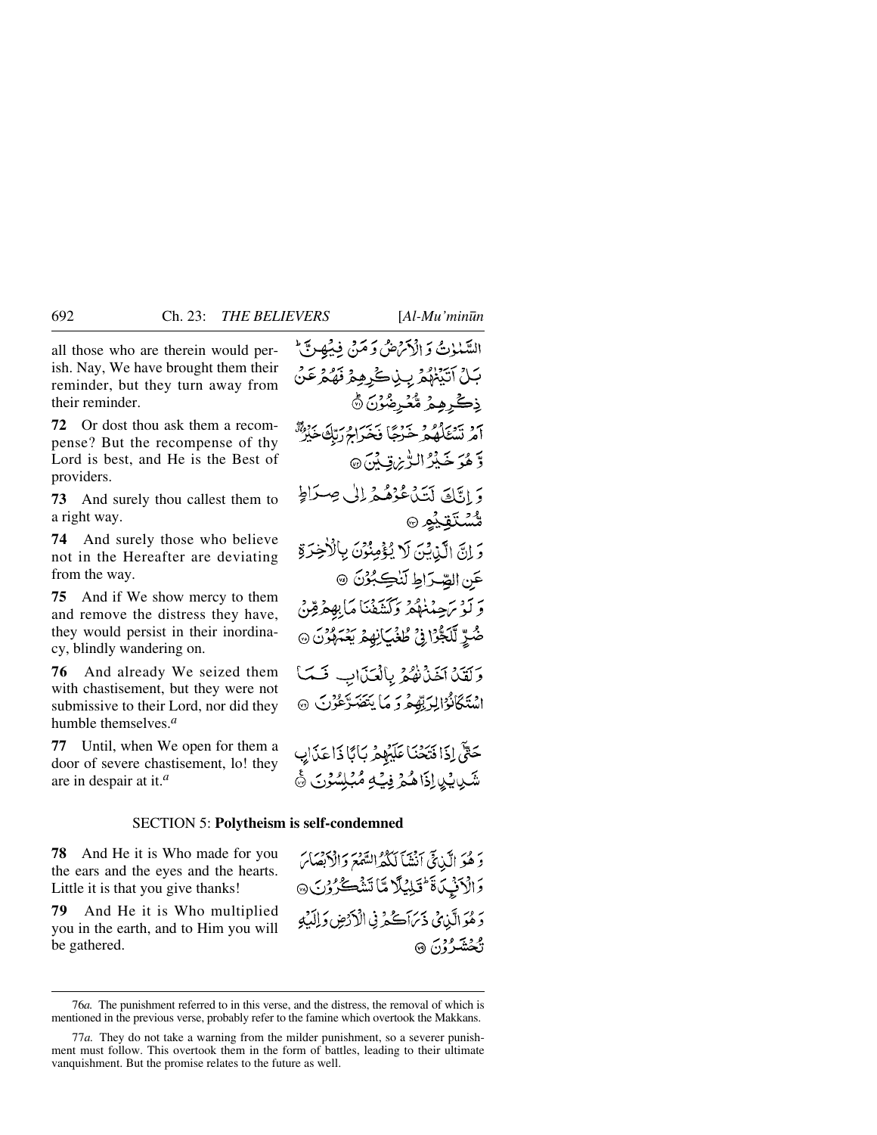all those who are therein would perish. Nay, We have brought them their reminder, but they turn away from their reminder.

**72** Or dost thou ask them a recompense? But the recompense of thy Lord is best, and He is the Best of providers.

**73** And surely thou callest them to a right way.

**74** And surely those who believe not in the Hereafter are deviating from the way.

**75** And if We show mercy to them and remove the distress they have, they would persist in their inordinacy, blindly wandering on.

**76** And already We seized them with chastisement, but they were not submissive to their Lord, nor did they humble themselves.*<sup>a</sup>*

**77** Until, when We open for them a door of severe chastisement, lo! they are in despair at it.*<sup>a</sup>*

السَّنْمُوْتُ وَ الْأَتْرَضُ وَ مَنْ فِيهِ فِي آَنَّ بَـلُ اَتَّبَيْهُمُ بِبِيْكَرِهِمُ فَهُمُرْعَنُ ذِكْرِهِمُ مُّعُرِضُوْنَ ۞ م و سراه و حربهٔ دس و به برده.<br>امر تسككه حرجًا فخيراج رتبُّ خَيْرٌ وَّ هُوَ خَيْرُ الرُّيْنِ قِيَةِ مِنَ @ وَ اِنَّكَ لَتَدَْعُوْهُمْ إِلَى صِدَاطٍ ۺ۠ؾػقؽؙڡ۞ وَ إِنَّ الَّذِيْنَ لَا يُؤْمِنُوْنَ بِالْأَخِرَةِ عَنِ الصِّرَاطِ لَنْكِبُرُنَ ۞ وَ لَوْ سَجِعْنُهُمْ وَكَشَفْنَا مَابِهِمْ قِرْنٌ ِّ شَرِّ لَلَجُّرُا فِي طُغْيَ نِهِمْ يَعْمَلُونَ @ وَلَقَلْ آخَذْنَٰهُمْ بِالْعَذَابِ فَسَمَأ اسْتَكَانُوْالِرَبِّهِمْ وَ مَا يَتَصَرَّعُوْنَ ۞

حَتَّى إِذَا فَتَحْنَا عَلَيْهِمْ بِأَيَّا ذَا عَذَابِ شَبِيدِ لِذَاهُمْ فِيَهِ مُبْلِسُوْنَ ﴾

#### SECTION 5: **Polytheism is self-condemned**

**78** And He it is Who made for you the ears and the eyes and the hearts. Little it is that you give thanks!

**79** And He it is Who multiplied you in the earth, and to Him you will be gathered.

دَ هُوَ الَّيْنِيِّيَ أَنْشَأَ لَكُثْرَالِسَّمْعَ دَالْأَبْصَائِ وَالْأَنْبِكَ فَأَتَلِيْلًا مَّا تَشْكُرُوْنَ @ دَ هُوَ الَّذِي ذَيْرَاَكُمْ فِي الْأَدْضِ وَإِلَيْهِ ئ*گشترُوْنَ* @

<sup>76</sup>*a.* The punishment referred to in this verse, and the distress, the removal of which is mentioned in the previous verse, probably refer to the famine which overtook the Makkans.

<sup>77</sup>*a.* They do not take a warning from the milder punishment, so a severer punishment must follow. This overtook them in the form of battles, leading to their ultimate vanquishment. But the promise relates to the future as well.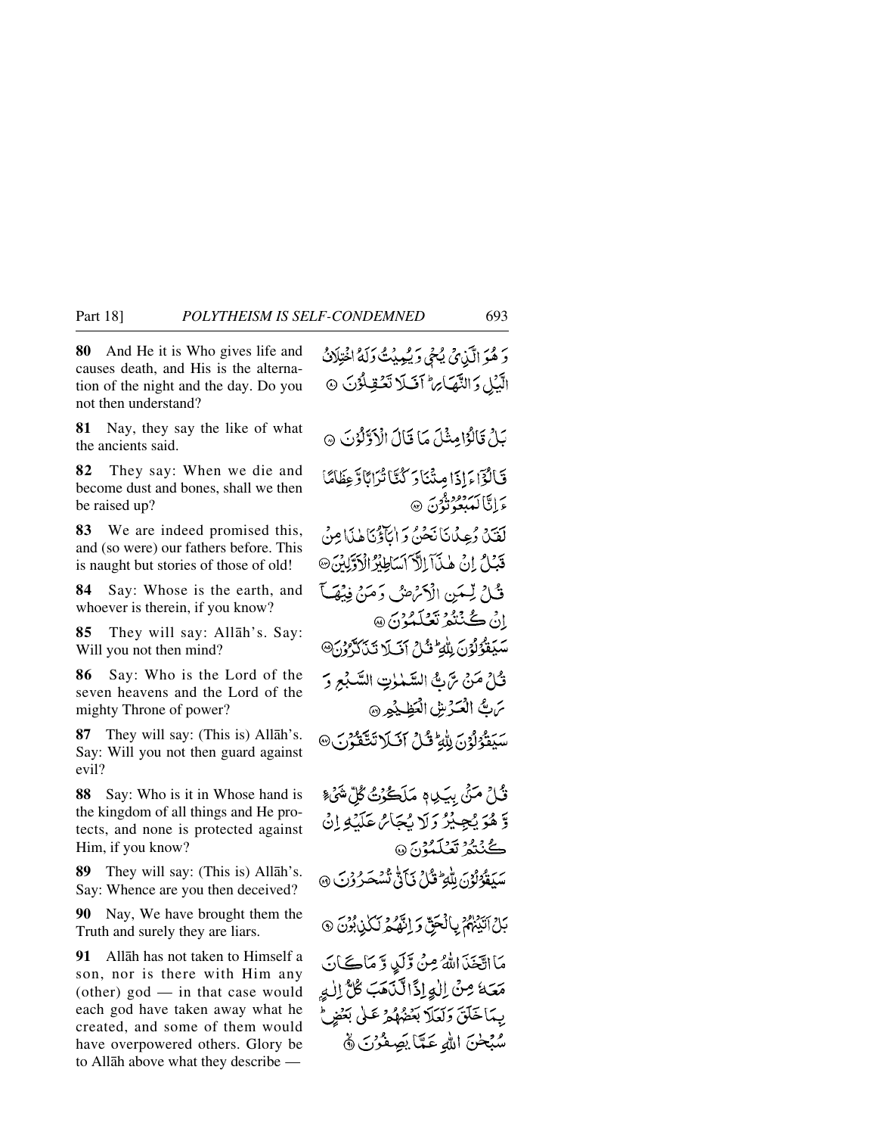**80** And He it is Who gives life and causes death, and His is the alternation of the night and the day. Do you not then understand?

**81** Nay, they say the like of what the ancients said.

**82** They say: When we die and become dust and bones, shall we then be raised up?

**83** We are indeed promised this, and (so were) our fathers before. This is naught but stories of those of old!

**84** Say: Whose is the earth, and whoever is therein, if you know?

**85** They will say: Allåh's. Say: Will you not then mind?

**86** Say: Who is the Lord of the seven heavens and the Lord of the mighty Throne of power?

**87** They will say: (This is) Allåh's. Say: Will you not then guard against evil?

**88** Say: Who is it in Whose hand is the kingdom of all things and He protects, and none is protected against Him, if you know?

**89** They will say: (This is) Allåh's. Say: Whence are you then deceived?

**90** Nay, We have brought them the Truth and surely they are liars.

**91** Allåh has not taken to Himself a son, nor is there with Him any (other) god — in that case would each god have taken away what he created, and some of them would have overpowered others. Glory be to Allåh above what they describe —

دَ هُوَ الَّذِي يُحْيِ دَيْمِينُتَ وَلَهُ اخْتِلَانُ الَّبَيْلِ وَالنَّهْيَائِهِ ۖ أَفَيْلًا تَعُقِيلُوْنَ ۞ بَلْ قَالُوْامِثْلَ مَا قَالَ الْأَوَّلُوْنَ ۞ فَالْوَّاءَ إِذَا مِنْنَادَ كُنَّا تُرَابًا وَعِظَامًا ءَاٿاڪِ پيو ٿون ه لَقَيْدُ دُعِيدُانَانَجُنُّ وَإِيَّا ذَادَتَنَاهُ بِذَا مِنْ قَبْلُ إِنْ هٰذَآ اِلَّآ ٱسَاطِيْرُ الْأَوَّلِيْنَ ۞ فَكِنْ لِّيِّمَيْنِ الْأَكْرَاضُ دَمَيْنَ فِيْصَلَّ انْ ڪُنٽُئو تعليمونَ @ سَيَقَوُّلُوْنَ لِلْهَ لَهُ إِنَّ إِنَّ لَآ تَنَاكَّ وَنَ تْ إِنَّ مَنْ سَّ بَّ السَّمْلِتِ السَّبْعِ وَ ترتُّ الْعَدْشِ الْعَظِيْمِرِ ۞ سَيَقَوْلُوْنَ لِلْهِ ۚ قُلْ آفَلَا تَتَّقَوُّنَ @ قُلْ مَنْيَ بِيَـدِيم مَلَڪُوۡتُ گُلِّ شَيۡءٌ وَّهُوَ يُجِيْرُ وَلَا يُجَائِنَ عَلَيْهِ إِنْ ڪُنُٽُمُ **تَصُلَّمُوْ**نَ ۞ سَيَقُوُنُوْنَ لِلْهِ ۖ قُلْ فَيَأَنُّ ثُنْبَجَيرُ وُبَ ۞ بَلْ آتَيْهُمْ بِالْحَقّ وَ إِنَّهُ مِ لَكُلْ بُرُنَ ۞ مَا اتَّخَذَ اللهُ مِنْ وَّلَىٰ وَ مَاڪَانَ مَعَهُ مِنْ الْوَاذَالَّذَهَبَ كُلُّ اللهِ بِهَاخَلَقَ وَلَعَلاً بَعُضُهُمْ عَلَىٰ بَعُفِرٍ لَحْ سُبْحٰنَ اللهِ عَمَّاً يَصِفُرُنَ ﴾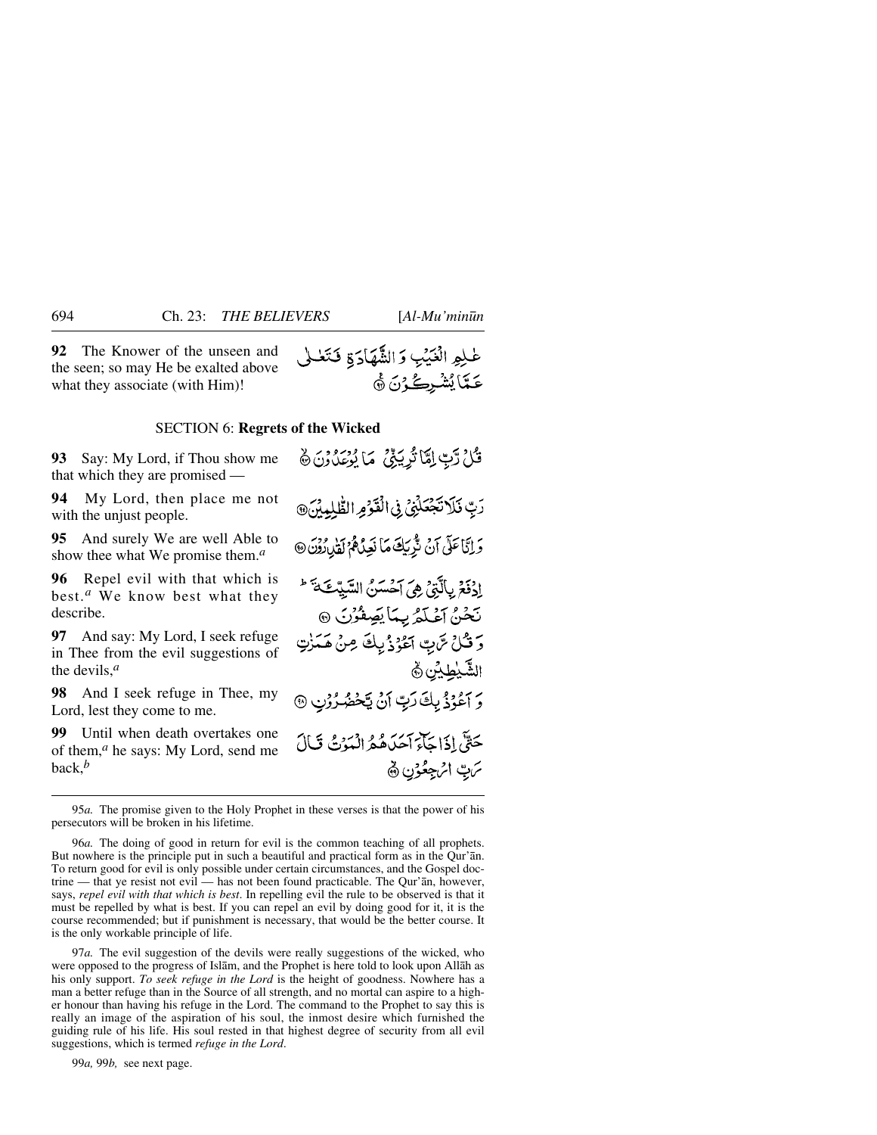**92** The Knower of the unseen and the seen; so may He be exalted above what they associate (with Him)!

#### SECTION 6: **Regrets of the Wicked**

**93** Say: My Lord, if Thou show me that which they are promised —

**94** My Lord, then place me not with the unjust people.

**95** And surely We are well Able to show thee what We promise them.*<sup>a</sup>*

**96** Repel evil with that which is best.*<sup>a</sup>* We know best what they describe.

**97** And say: My Lord, I seek refuge in Thee from the evil suggestions of the devils,*<sup>a</sup>*

**98** And I seek refuge in Thee, my Lord, lest they come to me.

**99** Until when death overtakes one of them,*<sup>a</sup>* he says: My Lord, send me back,*<sup>b</sup>*

قُلْ رَّبِّ إِمَّا تُرِيَّنِيُّ مَا يُؤْمَدُونَ ﴾ رَبِّ فَلَا تَجْعَلُنِى فِى الْقَوْمِ الطَّلِيِينَ،

وَ إِنَّا عَلَى آنَ تَزْرَيْكَ مَا نَعِدُهُمْ لَقَبِيدُوْنَ @ إِدْفَعُ بِالَّتِي هِيَ آحْسَنُ السَّيِّكَةَ \* نَحْنُ أَعْلَمُ بِمَا يَصِفْرُنَ ٢ وَ قُلْ سَّ بِ الْحُوْذُيلَ مِنْ هَمَزْتِ الشَّيْطِيُّنِ ﴾ وَ آعُوُذُ بِكَ رَبِّ أَنْ يَكْهُرُوْنِ @ حَقٌّ إِذَا جَآءَ أَهَدَهُ هُوَ الْبَيْرَةُ، قَبَالَ تربّ اثرچعُوُنِ ﴾

95*a.* The promise given to the Holy Prophet in these verses is that the power of his persecutors will be broken in his lifetime.

96*a.* The doing of good in return for evil is the common teaching of all prophets. But nowhere is the principle put in such a beautiful and practical form as in the Qur'ån. To return good for evil is only possible under certain circumstances, and the Gospel doctrine — that ye resist not evil — has not been found practicable. The Qur'ån, however, says, *repel evil with that which is best*. In repelling evil the rule to be observed is that it must be repelled by what is best. If you can repel an evil by doing good for it, it is the course recommended; but if punishment is necessary, that would be the better course. It is the only workable principle of life.

97*a.* The evil suggestion of the devils were really suggestions of the wicked, who were opposed to the progress of Islåm, and the Prophet is here told to look upon Allåh as his only support. *To seek refuge in the Lord* is the height of goodness. Nowhere has a man a better refuge than in the Source of all strength, and no mortal can aspire to a higher honour than having his refuge in the Lord. The command to the Prophet to say this is really an image of the aspiration of his soul, the inmost desire which furnished the guiding rule of his life. His soul rested in that highest degree of security from all evil suggestions, which is termed *refuge in the Lord*.

99*a,* 99*b,* see next page.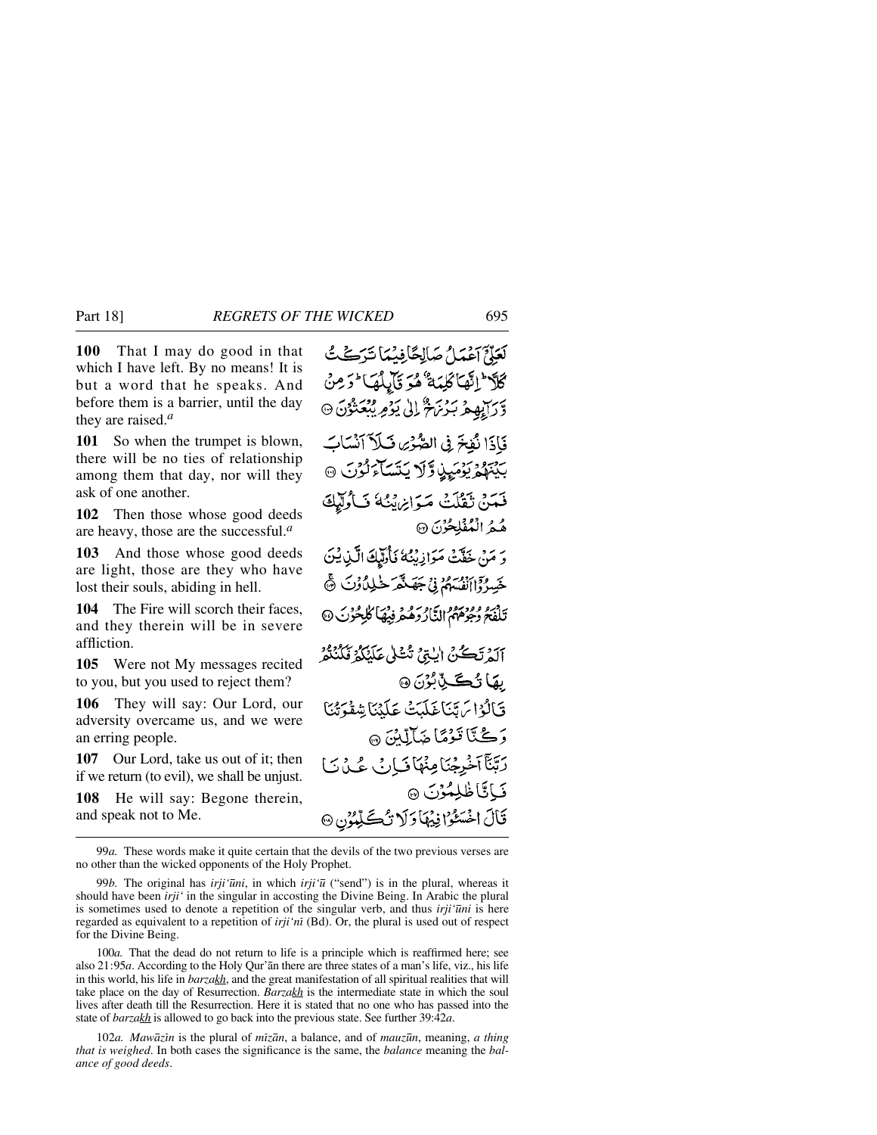**100** That I may do good in that which I have left. By no means! It is but a word that he speaks. And before them is a barrier, until the day they are raised.*<sup>a</sup>*

**101** So when the trumpet is blown, there will be no ties of relationship among them that day, nor will they ask of one another.

**102** Then those whose good deeds are heavy, those are the successful.*<sup>a</sup>*

**103** And those whose good deeds are light, those are they who have lost their souls, abiding in hell.

**104** The Fire will scorch their faces, and they therein will be in severe affliction.

**105** Were not My messages recited to you, but you used to reject them?

**106** They will say: Our Lord, our adversity overcame us, and we were an erring people.

**107** Our Lord, take us out of it; then if we return (to evil), we shall be unjust.

**108** He will say: Begone therein, and speak not to Me.

لَعَذَّمْ آَعُمَدُ ۗ صَلَاحًا فِيهُمَا تَرَكَّفُتُ كَلَا وَإِنَّهَا كَلِمَةٌ هُوَ قَالِلُهَا وَمِنْ وَّرَآيِهِمْ بَرُنَهُمْ ۚ إِلَىٰ يَوۡمِ يُبۡعَثُوۡنَ ۞ فَإِذَا نُفِخَ فِي الصُّوْى فَبَلَاّ آنْسَابَ بَيْنَهُمْ يَوْمَيِنٍ وَّلَا يَتَسَاءَ نُوْنَ ۞ فَعَدَنْ تَقْلَتْ مَيَوَانِهُ ثَنَاءُ فَبِأُولَيْكَ هُمُ الْمُفْلِحُرْنَ ۞ وَ مَنْ خَفَّتْ مَوَازِيْنُهُ فَأُدِلْنَكَ الَّيْنِ يُنَ خَسِرُوْٓاأَنْفُسَهُمْ فِي جَهَنْهُمْ خَلِيلٌ وُنَ ﴾ تَلْفَحُ دِعِيمٌ) النَّارُدَهُمْ ذِيْهَا كَلِحُوْنَ @ آلَهُ تَكُنُّ إِلِيِّيٌّ تُشْلِي عَلَيْكُمْ فَكَيْنَكُمْ بِهَا تُڪَٽِبُرُنَ ۞ فَالْدُاسَ تِّنَاغَلْدَتْ عَلَّدُنَا شِقْوَتُنَا رَكْتَاتَوْمًا ضَآلِيْنَ ۞ رَبَّبَآآخُرِجْنَامِنَهَاكَيَانَ عُيْدَيَا فَيَاتَاظْلِمُوۡنَ ۞ قَالَ اخْسَتُوْا فِيهَا وَلَا تُكْتَحِيْدُنِ ۞

100*a.* That the dead do not return to life is a principle which is reaffirmed here; see also 21:95*a*. According to the Holy Qur'ån there are three states of a man's life, viz., his life in this world, his life in *barzakh*, and the great manifestation of all spiritual realities that will take place on the day of Resurrection. *Barzakh* is the intermediate state in which the soul lives after death till the Resurrection. Here it is stated that no one who has passed into the state of *barzakh* is allowed to go back into the previous state. See further 39:42*a*.

102*a. Mawåzßn* is the plural of *mßzån*, a balance, and of *mauz∂n*, meaning, *a thing that is weighed*. In both cases the significance is the same, the *balance* meaning the *balance of good deeds*.

<sup>99</sup>*a.* These words make it quite certain that the devils of the two previous verses are no other than the wicked opponents of the Holy Prophet.

<sup>99</sup>*b.* The original has *irji'∂ni*, in which *irji'∂* ("send") is in the plural, whereas it should have been *irji'* in the singular in accosting the Divine Being. In Arabic the plural is sometimes used to denote a repetition of the singular verb, and thus *irji'∂ni* is here regarded as equivalent to a repetition of *irji'nß* (Bd). Or, the plural is used out of respect for the Divine Being.